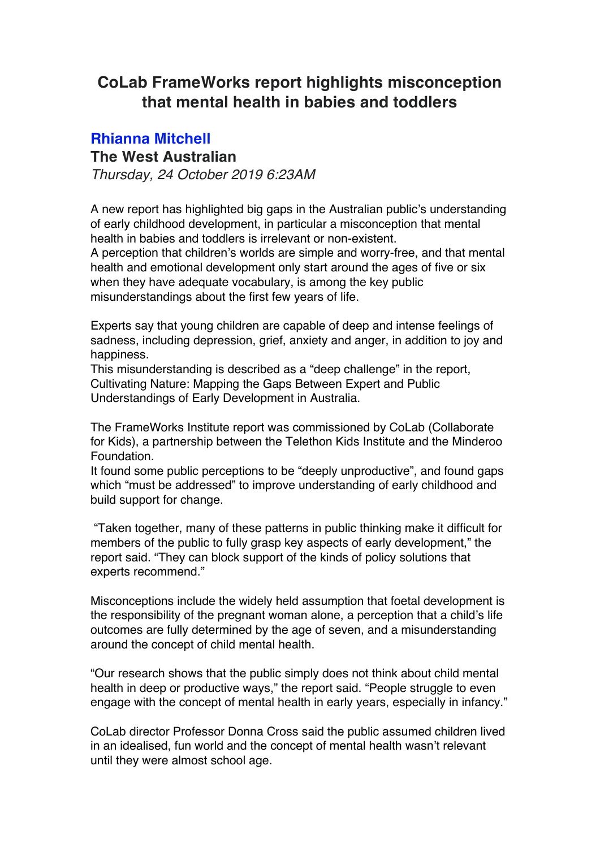## **CoLab FrameWorks report highlights misconception that mental health in babies and toddlers**

## **Rhianna Mitchell**

## **The West Australian**

*Thursday, 24 October 2019 6:23AM*

A new report has highlighted big gaps in the Australian public's understanding of early childhood development, in particular a misconception that mental health in babies and toddlers is irrelevant or non-existent.

A perception that children's worlds are simple and worry-free, and that mental health and emotional development only start around the ages of five or six when they have adequate vocabulary, is among the key public misunderstandings about the first few years of life.

Experts say that young children are capable of deep and intense feelings of sadness, including depression, grief, anxiety and anger, in addition to joy and happiness.

This misunderstanding is described as a "deep challenge" in the report, Cultivating Nature: Mapping the Gaps Between Expert and Public Understandings of Early Development in Australia.

The FrameWorks Institute report was commissioned by CoLab (Collaborate for Kids), a partnership between the Telethon Kids Institute and the Minderoo Foundation.

It found some public perceptions to be "deeply unproductive", and found gaps which "must be addressed" to improve understanding of early childhood and build support for change.

"Taken together, many of these patterns in public thinking make it difficult for members of the public to fully grasp key aspects of early development," the report said. "They can block support of the kinds of policy solutions that experts recommend."

Misconceptions include the widely held assumption that foetal development is the responsibility of the pregnant woman alone, a perception that a child's life outcomes are fully determined by the age of seven, and a misunderstanding around the concept of child mental health.

"Our research shows that the public simply does not think about child mental health in deep or productive ways," the report said. "People struggle to even engage with the concept of mental health in early years, especially in infancy."

CoLab director Professor Donna Cross said the public assumed children lived in an idealised, fun world and the concept of mental health wasn't relevant until they were almost school age.